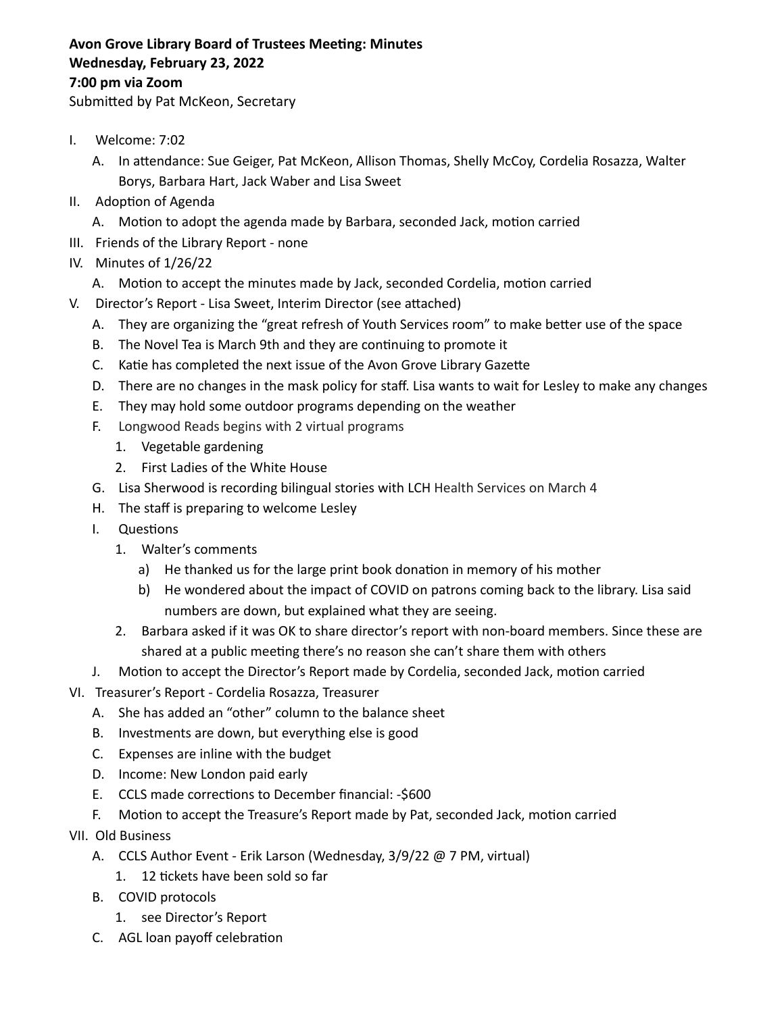## **Avon Grove Library Board of Trustees Meeting: Minutes Wednesday, February 23, 2022 7:00 pm via Zoom**

Submitted by Pat McKeon, Secretary

- I. Welcome: 7:02
	- A. In attendance: Sue Geiger, Pat McKeon, Allison Thomas, Shelly McCoy, Cordelia Rosazza, Walter Borys, Barbara Hart, Jack Waber and Lisa Sweet
- II. Adoption of Agenda
	- A. Motion to adopt the agenda made by Barbara, seconded Jack, motion carried
- III. Friends of the Library Report none
- IV. Minutes of 1/26/22
	- A. Motion to accept the minutes made by Jack, seconded Cordelia, motion carried
- V. Director's Report Lisa Sweet, Interim Director (see attached)
	- A. They are organizing the "great refresh of Youth Services room" to make better use of the space
	- B. The Novel Tea is March 9th and they are continuing to promote it
	- C. Katie has completed the next issue of the Avon Grove Library Gazette
	- D. There are no changes in the mask policy for staff. Lisa wants to wait for Lesley to make any changes
	- E. They may hold some outdoor programs depending on the weather
	- F. Longwood Reads begins with 2 virtual programs
		- 1. Vegetable gardening
		- 2. First Ladies of the White House
	- G. Lisa Sherwood is recording bilingual stories with LCH Health Services on March 4
	- H. The staff is preparing to welcome Lesley
	- I. Questions
		- 1. Walter's comments
			- a) He thanked us for the large print book donation in memory of his mother
			- b) He wondered about the impact of COVID on patrons coming back to the library. Lisa said numbers are down, but explained what they are seeing.
		- 2. Barbara asked if it was OK to share director's report with non-board members. Since these are shared at a public meeting there's no reason she can't share them with others
	- J. Motion to accept the Director's Report made by Cordelia, seconded Jack, motion carried
- VI. Treasurer's Report Cordelia Rosazza, Treasurer
	- A. She has added an "other" column to the balance sheet
	- B. Investments are down, but everything else is good
	- C. Expenses are inline with the budget
	- D. Income: New London paid early
	- E. CCLS made corrections to December financial: -\$600
	- F. Motion to accept the Treasure's Report made by Pat, seconded Jack, motion carried
- VII. Old Business
	- A. CCLS Author Event Erik Larson (Wednesday, 3/9/22 @ 7 PM, virtual)
		- 1. 12 tickets have been sold so far
	- B. COVID protocols
		- 1. see Director's Report
	- C. AGL loan payoff celebration